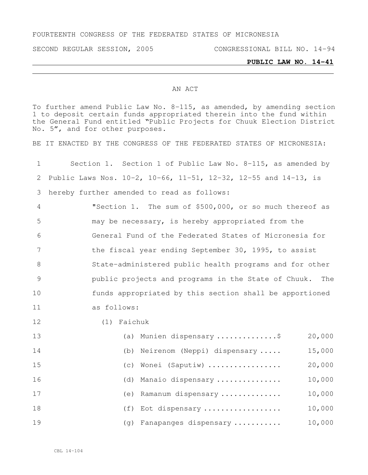### FOURTEENTH CONGRESS OF THE FEDERATED STATES OF MICRONESIA

SECOND REGULAR SESSION, 2005 CONGRESSIONAL BILL NO. 14-94

#### **PUBLIC LAW NO. 14-41**

### AN ACT

To further amend Public Law No. 8-115, as amended, by amending section to deposit certain funds appropriated therein into the fund within the General Fund entitled "Public Projects for Chuuk Election District No. 5", and for other purposes.

BE IT ENACTED BY THE CONGRESS OF THE FEDERATED STATES OF MICRONESIA:

| $\mathbf 1$    | Section 1. Section 1 of Public Law No. 8-115, as amended by     |
|----------------|-----------------------------------------------------------------|
| 2              | Public Laws Nos. 10-2, 10-66, 11-51, 12-32, 12-55 and 14-13, is |
| 3              | hereby further amended to read as follows:                      |
| $\overline{4}$ | "Section 1. The sum of \$500,000, or so much thereof as         |
| 5              | may be necessary, is hereby appropriated from the               |
| 6              | General Fund of the Federated States of Micronesia for          |
| 7              | the fiscal year ending September 30, 1995, to assist            |
| 8              | State-administered public health programs and for other         |
| 9              | public projects and programs in the State of Chuuk.<br>The      |
| 10             | funds appropriated by this section shall be apportioned         |
| 11             | as follows:                                                     |
| 12             | (1) Faichuk                                                     |
| 13             | (a) Munien dispensary \$<br>20,000                              |
| 14             | Neirenom (Neppi) dispensary<br>15,000<br>(b)                    |
| 15             | 20,000<br>Wonei (Saputiw)<br>(c)                                |
| 16             | 10,000<br>(d)<br>Manaio dispensary                              |
| 17             | 10,000<br>Ramanum dispensary<br>(e)                             |
| 18             | 10,000<br>Eot dispensary<br>(f)                                 |
| 19             | 10,000<br>Fanapanges dispensary<br>(q)                          |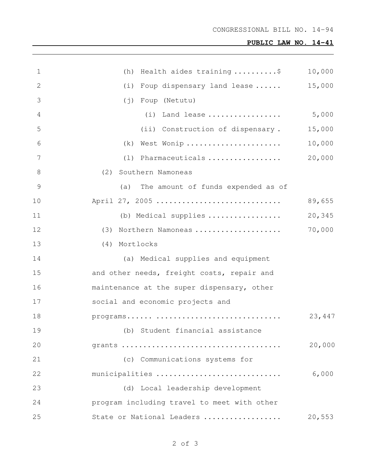# **PUBLIC LAW NO. 14-41**

| 1              | (h) Health aides training $\ldots \ldots \ldots$ \$ | 10,000 |
|----------------|-----------------------------------------------------|--------|
| 2              | (i) Foup dispensary land lease                      | 15,000 |
| 3              | (j) Foup (Netutu)                                   |        |
| 4              | (i) Land lease                                      | 5,000  |
| 5              | (ii) Construction of dispensary.                    | 15,000 |
| 6              | (k) West Wonip                                      | 10,000 |
| 7              | (1) Pharmaceuticals                                 | 20,000 |
| 8              | (2) Southern Namoneas                               |        |
| $\overline{9}$ | (a) The amount of funds expended as of              |        |
| 10             | April 27, 2005                                      | 89,655 |
| 11             | (b) Medical supplies                                | 20,345 |
| 12             | (3) Northern Namoneas                               | 70,000 |
| 13             | (4) Mortlocks                                       |        |
| 14             | (a) Medical supplies and equipment                  |        |
| 15             | and other needs, freight costs, repair and          |        |
| 16             | maintenance at the super dispensary, other          |        |
| 17             | social and economic projects and                    |        |
| 18             |                                                     | 23,447 |
| 19             | (b) Student financial assistance                    |        |
| 20             |                                                     | 20,000 |
| 21             | (c) Communications systems for                      |        |
| 22             | municipalities                                      | 6,000  |
| 23             | (d) Local leadership development                    |        |
| 24             | program including travel to meet with other         |        |
| 25             | State or National Leaders                           | 20,553 |